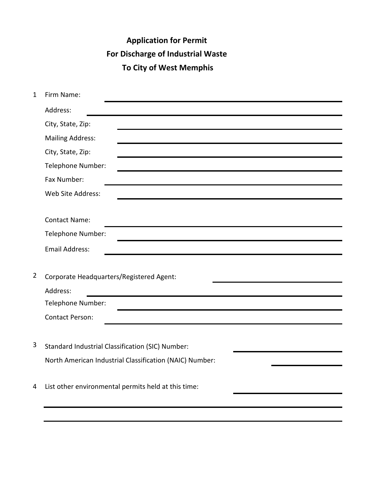# **Application for Permit For Discharge of Industrial Waste To City of West Memphis**

| $\mathbf{1}$   | Firm Name:                                              |
|----------------|---------------------------------------------------------|
|                | Address:                                                |
|                | City, State, Zip:                                       |
|                | <b>Mailing Address:</b>                                 |
|                | City, State, Zip:                                       |
|                | Telephone Number:                                       |
|                | Fax Number:                                             |
|                | Web Site Address:                                       |
|                |                                                         |
|                | <b>Contact Name:</b>                                    |
|                | Telephone Number:                                       |
|                | <b>Email Address:</b>                                   |
|                |                                                         |
| $\overline{2}$ | Corporate Headquarters/Registered Agent:                |
|                | Address:                                                |
|                | Telephone Number:                                       |
|                | <b>Contact Person:</b>                                  |
|                |                                                         |
| $\overline{3}$ | Standard Industrial Classification (SIC) Number:        |
|                | North American Industrial Classification (NAIC) Number: |
|                |                                                         |
| 4              | List other environmental permits held at this time:     |
|                |                                                         |
|                |                                                         |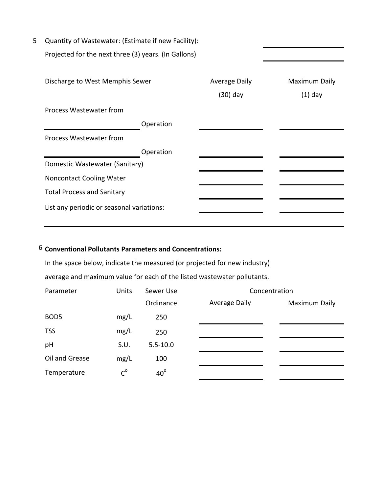| 5 | Quantity of Wastewater: (Estimate if new Facility):  |                      |               |
|---|------------------------------------------------------|----------------------|---------------|
|   | Projected for the next three (3) years. (In Gallons) |                      |               |
|   |                                                      |                      |               |
|   | Discharge to West Memphis Sewer                      | <b>Average Daily</b> | Maximum Daily |
|   |                                                      | (30) day             | $(1)$ day     |
|   | Process Wastewater from                              |                      |               |
|   | Operation                                            |                      |               |
|   | Process Wastewater from                              |                      |               |
|   | Operation                                            |                      |               |
|   | Domestic Wastewater (Sanitary)                       |                      |               |
|   | <b>Noncontact Cooling Water</b>                      |                      |               |
|   | <b>Total Process and Sanitary</b>                    |                      |               |
|   | List any periodic or seasonal variations:            |                      |               |
|   |                                                      |                      |               |

# 6 **Conventional Pollutants Parameters and Concentrations:**

In the space below, indicate the measured (or projected for new industry)

average and maximum value for each of the listed wastewater pollutants.

| Parameter        | Units   | Sewer Use    |                      | Concentration |
|------------------|---------|--------------|----------------------|---------------|
|                  |         | Ordinance    | <b>Average Daily</b> | Maximum Daily |
| BOD <sub>5</sub> | mg/L    | 250          |                      |               |
| <b>TSS</b>       | mg/L    | 250          |                      |               |
| pH               | S.U.    | $5.5 - 10.0$ |                      |               |
| Oil and Grease   | mg/L    | 100          |                      |               |
| Temperature      | $C^{o}$ | $40^\circ$   |                      |               |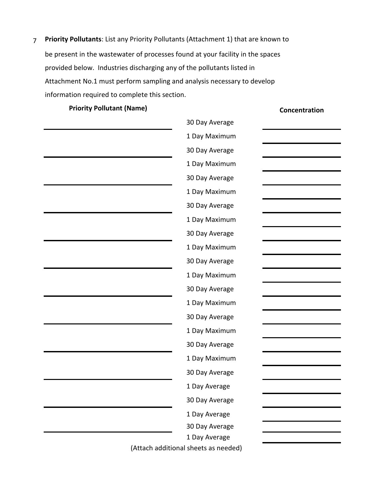7 **Priority Pollutants**: List any Priority Pollutants (Attachment 1) that are known to be present in the wastewater of processes found at your facility in the spaces provided below. Industries discharging any of the pollutants listed in Attachment No.1 must perform sampling and analysis necessary to develop information required to complete this section.

**Priority Pollutant (Name) Concentration** 

| 30 Day Average |
|----------------|
| 1 Day Maximum  |
| 30 Day Average |
| 1 Day Maximum  |
| 30 Day Average |
| 1 Day Maximum  |
| 30 Day Average |
| 1 Day Maximum  |
| 30 Day Average |
| 1 Day Maximum  |
| 30 Day Average |
| 1 Day Maximum  |
| 30 Day Average |
| 1 Day Maximum  |
| 30 Day Average |
| 1 Day Maximum  |
| 30 Day Average |
| 1 Day Maximum  |
| 30 Day Average |
| 1 Day Average  |
| 30 Day Average |
| 1 Day Average  |
| 30 Day Average |
| 1 Day Average  |

(Attach additional sheets as needed)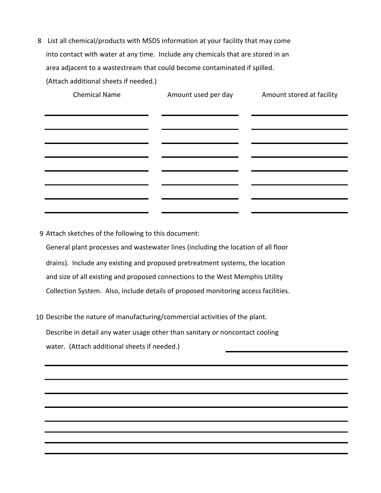8 List all chemical/products with MSDS information at your facility that may come into contact with water at any time. Include any chemicals that are stored in an area adjacent to a wastestream that could become contaminated if spilled.

(Attach additional sheets if needed.)

| <b>Chemical Name</b> | Amount used per day | Amount stored at facility |
|----------------------|---------------------|---------------------------|
|                      |                     |                           |
|                      |                     |                           |
|                      |                     |                           |
|                      |                     |                           |
|                      |                     |                           |
|                      |                     |                           |

9 Attach sketches of the following to this document:

General plant processes and wastewater lines (including the location of all floor drains). Include any existing and proposed pretreatment systems, the location and size of all existing and proposed connections to the West Memphis Utility Collection System. Also, include details of proposed monitoring access facilities.

10 Describe the nature of manufacturing/commercial activities of the plant.

Describe in detail any water usage other than sanitary or noncontact cooling water. (Attach additional sheets if needed.)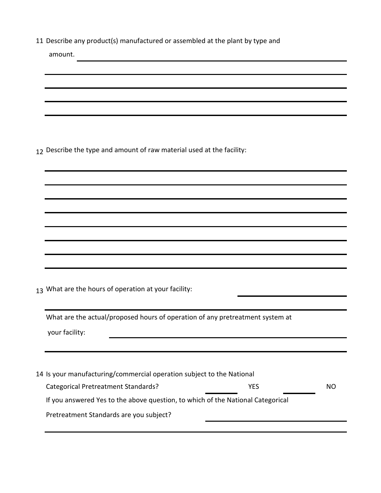11 Describe any product(s) manufactured or assembled at the plant by type and

| amount.                                                                         |
|---------------------------------------------------------------------------------|
|                                                                                 |
|                                                                                 |
|                                                                                 |
|                                                                                 |
| 12 Describe the type and amount of raw material used at the facility:           |
|                                                                                 |
|                                                                                 |
|                                                                                 |
|                                                                                 |
|                                                                                 |
|                                                                                 |
| 13 What are the hours of operation at your facility:                            |
| What are the actual/proposed hours of operation of any pretreatment system at   |
| your facility:                                                                  |
|                                                                                 |
|                                                                                 |
| 14 Is your manufacturing/commercial operation subject to the National           |
| <b>Categorical Pretreatment Standards?</b><br><b>YES</b><br><b>NO</b>           |
| If you answered Yes to the above question, to which of the National Categorical |
| Pretreatment Standards are you subject?                                         |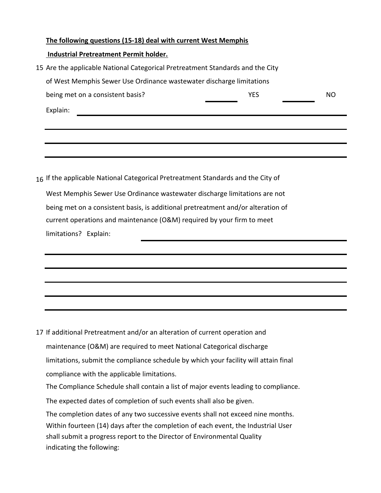#### **The following questions (15-18) deal with current West Memphis**

#### **Industrial Pretreatment Permit holder.**

| 15 Are the applicable National Categorical Pretreatment Standards and the City |     |     |  |  |
|--------------------------------------------------------------------------------|-----|-----|--|--|
| of West Memphis Sewer Use Ordinance wastewater discharge limitations           |     |     |  |  |
| being met on a consistent basis?                                               | YES | NO. |  |  |
| Explain:                                                                       |     |     |  |  |
|                                                                                |     |     |  |  |
|                                                                                |     |     |  |  |

16 If the applicable National Categorical Pretreatment Standards and the City of limitations? Explain: West Memphis Sewer Use Ordinance wastewater discharge limitations are not being met on a consistent basis, is additional pretreatment and/or alteration of current operations and maintenance (O&M) required by your firm to meet

17 If additional Pretreatment and/or an alteration of current operation and limitations, submit the compliance schedule by which your facility will attain final compliance with the applicable limitations. maintenance (O&M) are required to meet National Categorical discharge The Compliance Schedule shall contain a list of major events leading to compliance.

The expected dates of completion of such events shall also be given.

shall submit a progress report to the Director of Environmental Quality indicating the following: The completion dates of any two successive events shall not exceed nine months. Within fourteen (14) days after the completion of each event, the Industrial User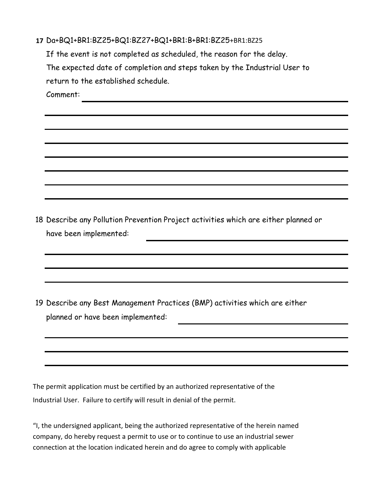|  |  |  | 17 Da+BQ1+BR1:BZ25+BQ1:BZ27+BQ1+BR1:B+BR1:BZ25+BR1:BZ25 |  |
|--|--|--|---------------------------------------------------------|--|
|--|--|--|---------------------------------------------------------|--|

If the event is not completed as scheduled, the reason for the delay. return to the established schedule. The expected date of completion and steps taken by the Industrial User to

Comment:

18 Describe any Pollution Prevention Project activities which are either planned or have been implemented:

19 Describe any Best Management Practices (BMP) activities which are either planned or have been implemented:

The permit application must be certified by an authorized representative of the Industrial User. Failure to certify will result in denial of the permit.

"I, the undersigned applicant, being the authorized representative of the herein named company, do hereby request a permit to use or to continue to use an industrial sewer connection at the location indicated herein and do agree to comply with applicable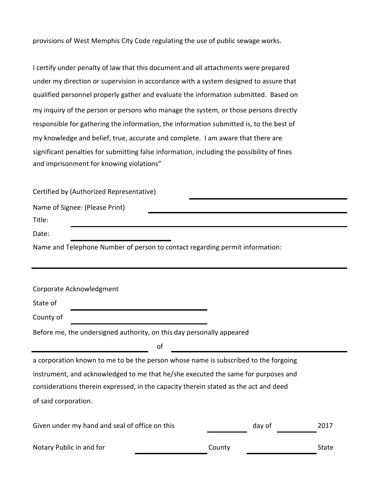provisions of West Memphis City Code regulating the use of public sewage works.

under my direction or supervision in accordance with a system designed to assure that I certify under penalty of law that this document and all attachments were prepared and imprisonment for knowing violations" significant penalties for submitting false information, including the possibility of fines my knowledge and belief, true, accurate and complete. I am aware that there are responsible for gathering the information, the information submitted is, to the best of my inquiry of the person or persons who manage the system, or those persons directly qualified personnel properly gather and evaluate the information submitted. Based on

## Certified by (Authorized Representative)

| Name of Signee: (Please Print)                                               |  |
|------------------------------------------------------------------------------|--|
| Title:                                                                       |  |
| Date:                                                                        |  |
| Name and Telephone Number of person to contact regarding permit information: |  |

| Corporate Acknowledgment                                                             |        |      |
|--------------------------------------------------------------------------------------|--------|------|
| State of                                                                             |        |      |
| County of                                                                            |        |      |
| Before me, the undersigned authority, on this day personally appeared                |        |      |
| οf                                                                                   |        |      |
| a corporation known to me to be the person whose name is subscribed to the forgoing  |        |      |
| instrument, and acknowledged to me that he/she executed the same for purposes and    |        |      |
| considerations therein expressed, in the capacity therein stated as the act and deed |        |      |
| of said corporation.                                                                 |        |      |
|                                                                                      |        |      |
| Given under my hand and seal of office on this                                       | day of | 2017 |

| Notary Public in and for | County | State |
|--------------------------|--------|-------|
|                          |        |       |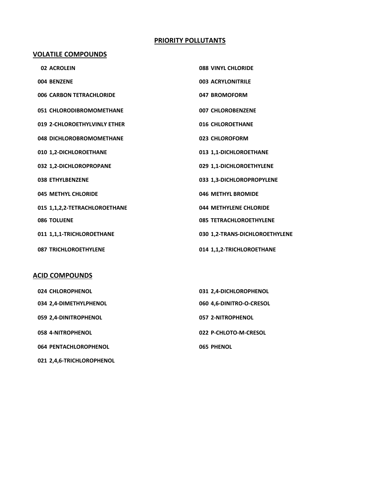## **PRIORITY POLLUTANTS**

#### **VOLATILE COMPOUNDS**

| 02 ACROLEIN                   | <b>088 VINYL CHLORIDE</b>      |
|-------------------------------|--------------------------------|
| 004 BENZENE                   | 003 ACRYLONITRILE              |
| 006 CARBON TETRACHLORIDE      | 047 BROMOFORM                  |
| 051 CHLORODIBROMOMETHANE      | 007 CHLOROBENZENE              |
| 019 2-CHLOROETHYLVINLY ETHER  | 016 CHLOROETHANE               |
| 048 DICHLOROBROMOMETHANE      | 023 CHLOROFORM                 |
| 010 1,2-DICHLOROETHANE        | 013 1,1-DICHLOROETHANE         |
| 032 1,2-DICHLOROPROPANE       | 029 1,1-DICHLOROETHYLENE       |
| 038 ETHYLBENZENE              | 033 1,3-DICHLOROPROPYLENE      |
| 045 METHYL CHLORIDE           | 046 METHYL BROMIDE             |
| 015 1,1,2,2-TETRACHLOROETHANE | 044 METHYLENE CHLORIDE         |
| 086 TOLUENE                   | <b>085 TETRACHLOROETHYLENE</b> |
| 011 1,1,1-TRICHLOROETHANE     | 030 1,2-TRANS-DICHLOROETHYLENE |
| <b>087 TRICHLOROETHYLENE</b>  | 014 1,1,2-TRICHLOROETHANE      |

## **ACID COMPOUNDS**

| 024 CHLOROPHENOL          | 031 2,4-DICHLOROPHENOL   |
|---------------------------|--------------------------|
| 034 2,4-DIMETHYLPHENOL    | 060 4.6-DINITRO-O-CRESOL |
| 059 2,4-DINITROPHENOL     | 057 2-NITROPHENOL        |
| 058 4-NITROPHENOL         | 022 P-CHLOTO-M-CRESOL    |
| 064 PENTACHLOROPHENOL     | <b>065 PHENOL</b>        |
| 021 2,4,6-TRICHLOROPHENOL |                          |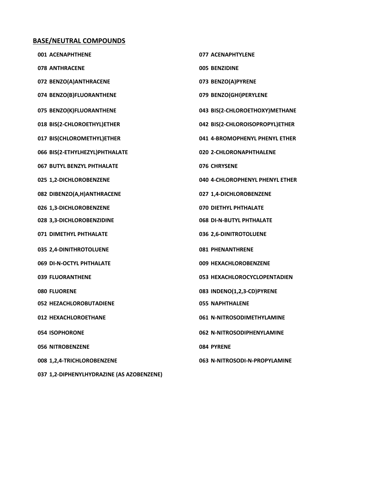#### **BASE/NEUTRAL COMPOUNDS**

| 001 ACENAPHTHENE                          | 077 ACENAPHTYLENE               |
|-------------------------------------------|---------------------------------|
| <b>078 ANTHRACENE</b>                     | 005 BENZIDINE                   |
| 072 BENZO(A)ANTHRACENE                    | 073 BENZO(A)PYRENE              |
| 074 BENZO(B)FLUORANTHENE                  | 079 BENZO(GHI)PERYLENE          |
| 075 BENZO(K)FLUORANTHENE                  | 043 BIS(2-CHLOROETHOXY)METHANE  |
| 018 BIS(2-CHLOROETHYL)ETHER               | 042 BIS(2-CHLOROISOPROPYL)ETHER |
| 017 BIS(CHLOROMETHYL)ETHER                | 041 4-BROMOPHENYL PHENYL ETHER  |
| 066 BIS(2-ETHYLHEZYL)PHTHALATE            | 020 2-CHLORONAPHTHALENE         |
| 067 BUTYL BENZYL PHTHALATE                | 076 CHRYSENE                    |
| 025 1,2-DICHLOROBENZENE                   | 040 4-CHLOROPHENYL PHENYL ETHER |
| 082 DIBENZO(A,H)ANTHRACENE                | 027 1,4-DICHLOROBENZENE         |
| 026 1,3-DICHLOROBENZENE                   | 070 DIETHYL PHTHALATE           |
| 028 3,3-DICHLOROBENZIDINE                 | 068 DI-N-BUTYL PHTHALATE        |
| 071 DIMETHYL PHTHALATE                    | 036 2,6-DINITROTOLUENE          |
| 035 2,4-DINITHROTOLUENE                   | <b>081 PHENANTHRENE</b>         |
| 069 DI-N-OCTYL PHTHALATE                  | 009 HEXACHLOROBENZENE           |
| 039 FLUORANTHENE                          | 053 HEXACHLOROCYCLOPENTADIEN    |
| <b>080 FLUORENE</b>                       | 083 INDENO(1,2,3-CD)PYRENE      |
| 052 HEZACHLOROBUTADIENE                   | <b>055 NAPHTHALENE</b>          |
| 012 HEXACHLOROETHANE                      | 061 N-NITROSODIMETHYLAMINE      |
| <b>054 ISOPHORONE</b>                     | 062 N-NITROSODIPHENYLAMINE      |
| <b>056 NITROBENZENE</b>                   | <b>084 PYRENE</b>               |
| 008 1,2,4-TRICHLOROBENZENE                | 063 N-NITROSODI-N-PROPYLAMINE   |
| 037 1,2-DIPHENYLHYDRAZINE (AS AZOBENZENE) |                                 |